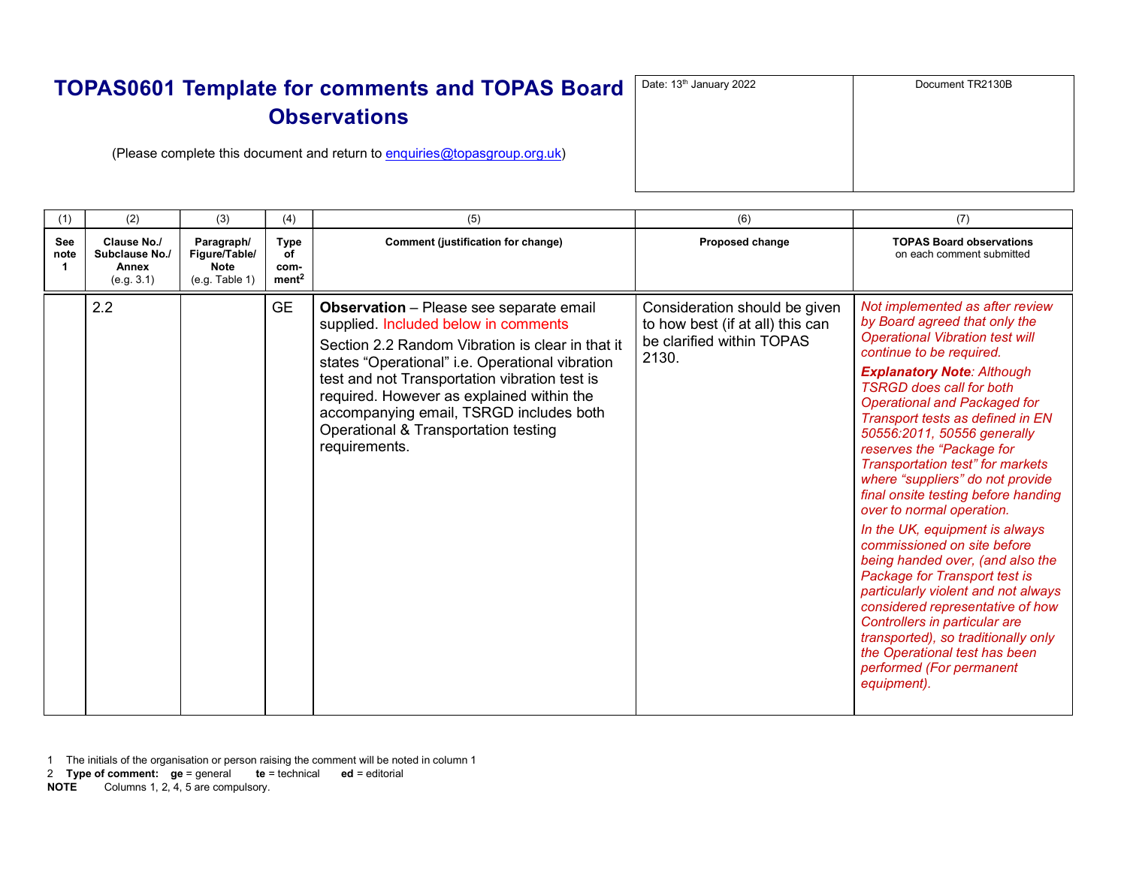| $\mathbf d$ | Date: 13 <sup>th</sup> January 2022 | Document TR2130B |
|-------------|-------------------------------------|------------------|
|             |                                     |                  |
|             |                                     |                  |
|             |                                     |                  |
|             |                                     |                  |

(Please complete this document and return to enquiries@topasgroup.org.uk)

| (1)                                 | (2)                                                  | (3)                                                          | (4)                                            | (5)                                                                                                                                                                                                                                                                                                                                                                                             | (6)                                                                                                     | (7)                                                                                                                                                                                                                                                                                                                                                                                                                                                                                                                                                                                                                                                                                                                                                                                                                                                                    |
|-------------------------------------|------------------------------------------------------|--------------------------------------------------------------|------------------------------------------------|-------------------------------------------------------------------------------------------------------------------------------------------------------------------------------------------------------------------------------------------------------------------------------------------------------------------------------------------------------------------------------------------------|---------------------------------------------------------------------------------------------------------|------------------------------------------------------------------------------------------------------------------------------------------------------------------------------------------------------------------------------------------------------------------------------------------------------------------------------------------------------------------------------------------------------------------------------------------------------------------------------------------------------------------------------------------------------------------------------------------------------------------------------------------------------------------------------------------------------------------------------------------------------------------------------------------------------------------------------------------------------------------------|
| See<br>note<br>$\blacktriangleleft$ | Clause No./<br>Subclause No./<br>Annex<br>(e.g. 3.1) | Paragraph/<br>Figure/Table/<br><b>Note</b><br>(e.g. Table 1) | <b>Type</b><br>of<br>com-<br>ment <sup>2</sup> | Comment (justification for change)                                                                                                                                                                                                                                                                                                                                                              | <b>Proposed change</b>                                                                                  | <b>TOPAS Board observations</b><br>on each comment submitted                                                                                                                                                                                                                                                                                                                                                                                                                                                                                                                                                                                                                                                                                                                                                                                                           |
|                                     | 2.2                                                  |                                                              | <b>GE</b>                                      | <b>Observation</b> – Please see separate email<br>supplied. Included below in comments<br>Section 2.2 Random Vibration is clear in that it<br>states "Operational" i.e. Operational vibration<br>test and not Transportation vibration test is<br>required. However as explained within the<br>accompanying email, TSRGD includes both<br>Operational & Transportation testing<br>requirements. | Consideration should be given<br>to how best (if at all) this can<br>be clarified within TOPAS<br>2130. | Not implemented as after review<br>by Board agreed that only the<br><b>Operational Vibration test will</b><br>continue to be required.<br><b>Explanatory Note: Although</b><br><b>TSRGD</b> does call for both<br><b>Operational and Packaged for</b><br>Transport tests as defined in EN<br>50556:2011, 50556 generally<br>reserves the "Package for<br>Transportation test" for markets<br>where "suppliers" do not provide<br>final onsite testing before handing<br>over to normal operation.<br>In the UK, equipment is always<br>commissioned on site before<br>being handed over, (and also the<br>Package for Transport test is<br>particularly violent and not always<br>considered representative of how<br>Controllers in particular are<br>transported), so traditionally only<br>the Operational test has been<br>performed (For permanent<br>equipment). |

- 1 The initials of the organisation or person raising the comment will be noted in column 1
- 2 Type of comment:  $ge =$  general te = technical ed = editorial
- NOTE Columns 1, 2, 4, 5 are compulsory.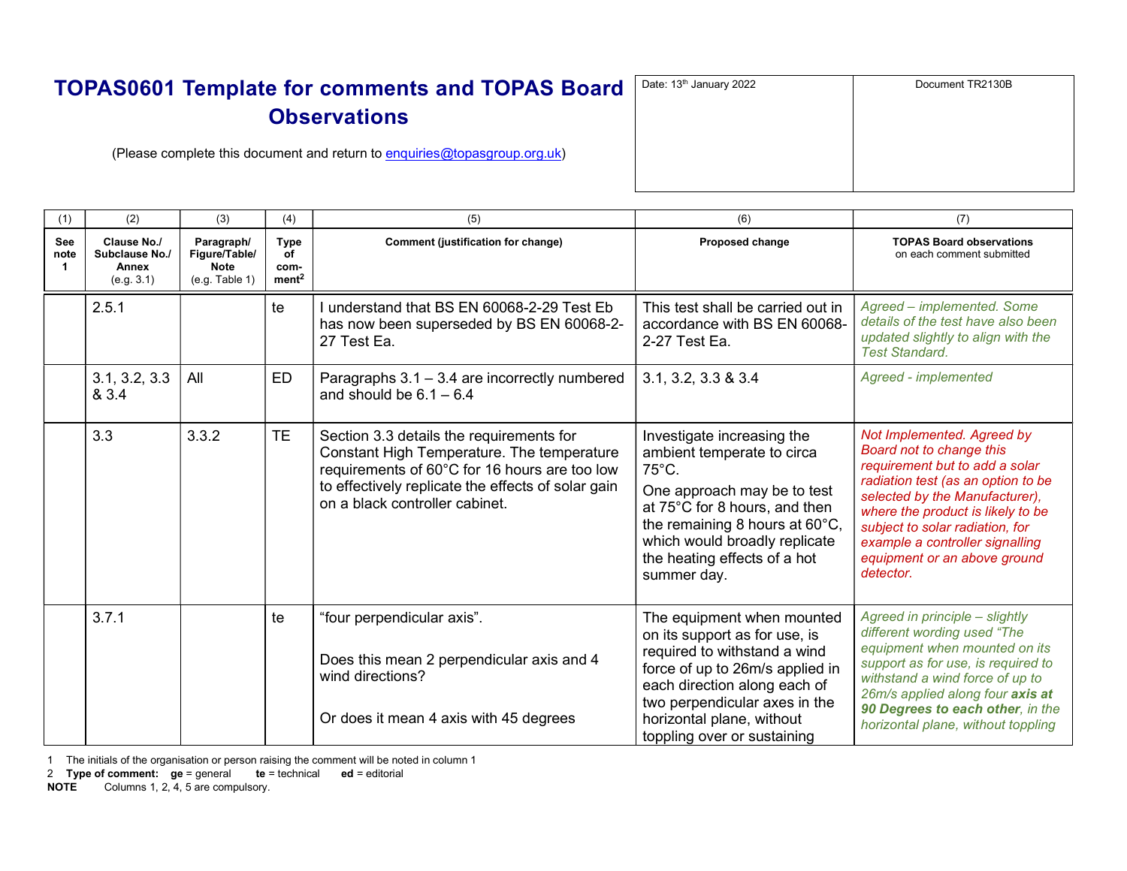| $\overline{\mathsf{d}}$ | Date: 13th January 2022 | Document TR2130B |
|-------------------------|-------------------------|------------------|
|                         |                         |                  |
|                         |                         |                  |
|                         |                         |                  |

(Please complete this document and return to enquiries@topasgroup.org.uk)

| (1)              | (2)                                                  | (3)                                                          | (4)                                            | (5)                                                                                                                                                                                                                             | (6)                                                                                                                                                                                                                                                           | (7)                                                                                                                                                                                                                                                                                                                      |
|------------------|------------------------------------------------------|--------------------------------------------------------------|------------------------------------------------|---------------------------------------------------------------------------------------------------------------------------------------------------------------------------------------------------------------------------------|---------------------------------------------------------------------------------------------------------------------------------------------------------------------------------------------------------------------------------------------------------------|--------------------------------------------------------------------------------------------------------------------------------------------------------------------------------------------------------------------------------------------------------------------------------------------------------------------------|
| See<br>note<br>1 | Clause No./<br>Subclause No./<br>Annex<br>(e.g. 3.1) | Paragraph/<br>Figure/Table/<br><b>Note</b><br>(e.g. Table 1) | <b>Type</b><br>οf<br>com-<br>ment <sup>2</sup> | <b>Comment (justification for change)</b>                                                                                                                                                                                       | Proposed change                                                                                                                                                                                                                                               | <b>TOPAS Board observations</b><br>on each comment submitted                                                                                                                                                                                                                                                             |
|                  | 2.5.1                                                |                                                              | te                                             | understand that BS EN 60068-2-29 Test Eb<br>has now been superseded by BS EN 60068-2-<br>27 Test Ea.                                                                                                                            | This test shall be carried out in<br>accordance with BS EN 60068-<br>2-27 Test Ea.                                                                                                                                                                            | Agreed - implemented. Some<br>details of the test have also been<br>updated slightly to align with the<br><b>Test Standard.</b>                                                                                                                                                                                          |
|                  | 3.1, 3.2, 3.3<br>& 3.4                               | All                                                          | ED                                             | Paragraphs 3.1 - 3.4 are incorrectly numbered<br>and should be $6.1 - 6.4$                                                                                                                                                      | 3.1, 3.2, 3.3 & 3.4                                                                                                                                                                                                                                           | Agreed - implemented                                                                                                                                                                                                                                                                                                     |
|                  | 3.3                                                  | 3.3.2                                                        | TΕ.                                            | Section 3.3 details the requirements for<br>Constant High Temperature. The temperature<br>requirements of 60°C for 16 hours are too low<br>to effectively replicate the effects of solar gain<br>on a black controller cabinet. | Investigate increasing the<br>ambient temperate to circa<br>$75^{\circ}$ C.<br>One approach may be to test<br>at 75°C for 8 hours, and then<br>the remaining 8 hours at 60°C,<br>which would broadly replicate<br>the heating effects of a hot<br>summer day. | Not Implemented. Agreed by<br>Board not to change this<br>requirement but to add a solar<br>radiation test (as an option to be<br>selected by the Manufacturer),<br>where the product is likely to be<br>subject to solar radiation, for<br>example a controller signalling<br>equipment or an above ground<br>detector. |
|                  | 3.7.1                                                |                                                              | te                                             | "four perpendicular axis".<br>Does this mean 2 perpendicular axis and 4<br>wind directions?<br>Or does it mean 4 axis with 45 degrees                                                                                           | The equipment when mounted<br>on its support as for use, is<br>required to withstand a wind<br>force of up to 26m/s applied in<br>each direction along each of<br>two perpendicular axes in the<br>horizontal plane, without<br>toppling over or sustaining   | Agreed in principle - slightly<br>different wording used "The<br>equipment when mounted on its<br>support as for use, is required to<br>withstand a wind force of up to<br>26m/s applied along four axis at<br>90 Degrees to each other, in the<br>horizontal plane, without toppling                                    |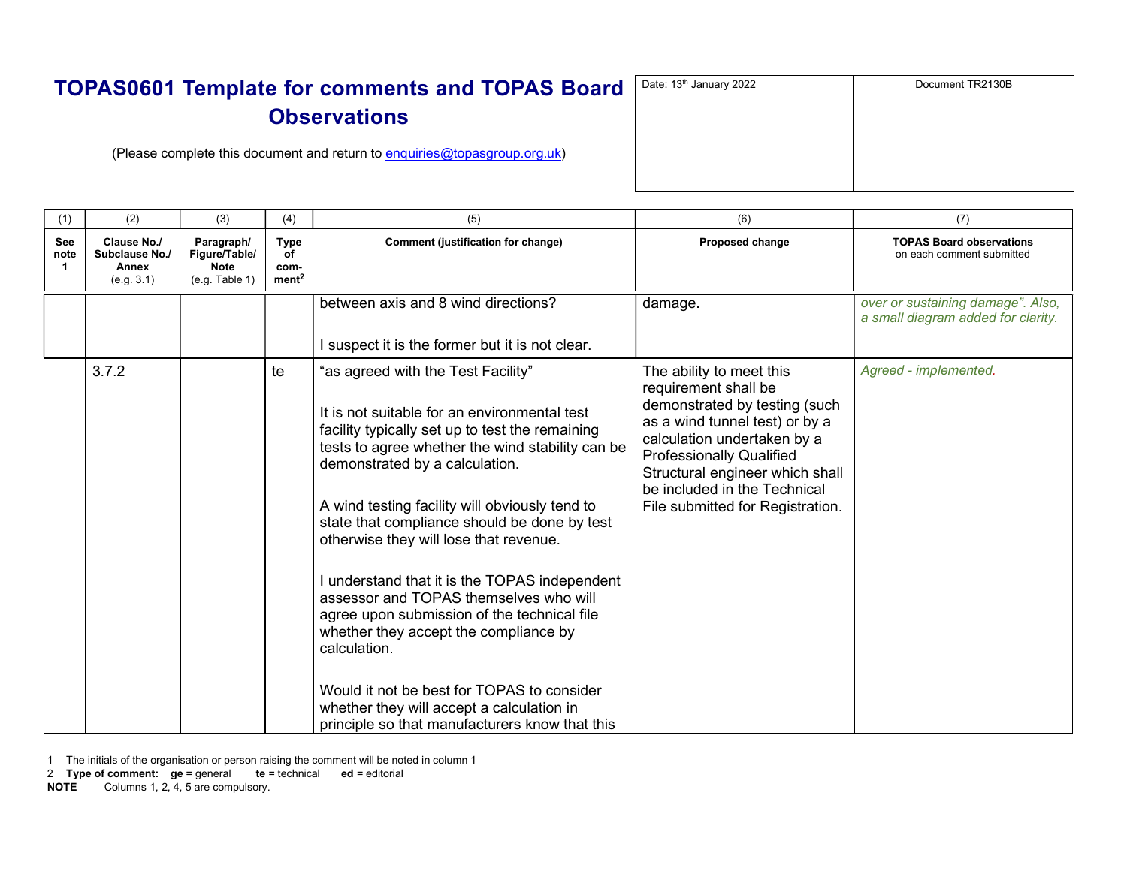| $\mathbf d$ | Date: 13 <sup>th</sup> January 2022 | Document TR2130B |
|-------------|-------------------------------------|------------------|
|             |                                     |                  |
|             |                                     |                  |
|             |                                     |                  |

(Please complete this document and return to enquiries@topasgroup.org.uk)

| (1)         | (2)                                                  | (3)                                                          | (4)                                            | (5)                                                                                                                                                                                                                                                                                                                                                                                                                                                                                                                                                                                                                                                                                                                     | (6)                                                                                                                                                                                                                                                                                          | (7)                                                                     |
|-------------|------------------------------------------------------|--------------------------------------------------------------|------------------------------------------------|-------------------------------------------------------------------------------------------------------------------------------------------------------------------------------------------------------------------------------------------------------------------------------------------------------------------------------------------------------------------------------------------------------------------------------------------------------------------------------------------------------------------------------------------------------------------------------------------------------------------------------------------------------------------------------------------------------------------------|----------------------------------------------------------------------------------------------------------------------------------------------------------------------------------------------------------------------------------------------------------------------------------------------|-------------------------------------------------------------------------|
| See<br>note | Clause No./<br>Subclause No./<br>Annex<br>(e.g. 3.1) | Paragraph/<br>Figure/Table/<br><b>Note</b><br>(e.g. Table 1) | <b>Type</b><br>οf<br>com-<br>ment <sup>2</sup> | Comment (justification for change)                                                                                                                                                                                                                                                                                                                                                                                                                                                                                                                                                                                                                                                                                      | Proposed change                                                                                                                                                                                                                                                                              | <b>TOPAS Board observations</b><br>on each comment submitted            |
|             |                                                      |                                                              |                                                | between axis and 8 wind directions?<br>I suspect it is the former but it is not clear.                                                                                                                                                                                                                                                                                                                                                                                                                                                                                                                                                                                                                                  | damage.                                                                                                                                                                                                                                                                                      | over or sustaining damage". Also,<br>a small diagram added for clarity. |
|             | 3.7.2                                                |                                                              | te                                             | "as agreed with the Test Facility"<br>It is not suitable for an environmental test<br>facility typically set up to test the remaining<br>tests to agree whether the wind stability can be<br>demonstrated by a calculation.<br>A wind testing facility will obviously tend to<br>state that compliance should be done by test<br>otherwise they will lose that revenue.<br>I understand that it is the TOPAS independent<br>assessor and TOPAS themselves who will<br>agree upon submission of the technical file<br>whether they accept the compliance by<br>calculation.<br>Would it not be best for TOPAS to consider<br>whether they will accept a calculation in<br>principle so that manufacturers know that this | The ability to meet this<br>requirement shall be<br>demonstrated by testing (such<br>as a wind tunnel test) or by a<br>calculation undertaken by a<br><b>Professionally Qualified</b><br>Structural engineer which shall<br>be included in the Technical<br>File submitted for Registration. | Agreed - implemented.                                                   |

1 The initials of the organisation or person raising the comment will be noted in column 1

NOTE Columns 1, 2, 4, 5 are compulsory.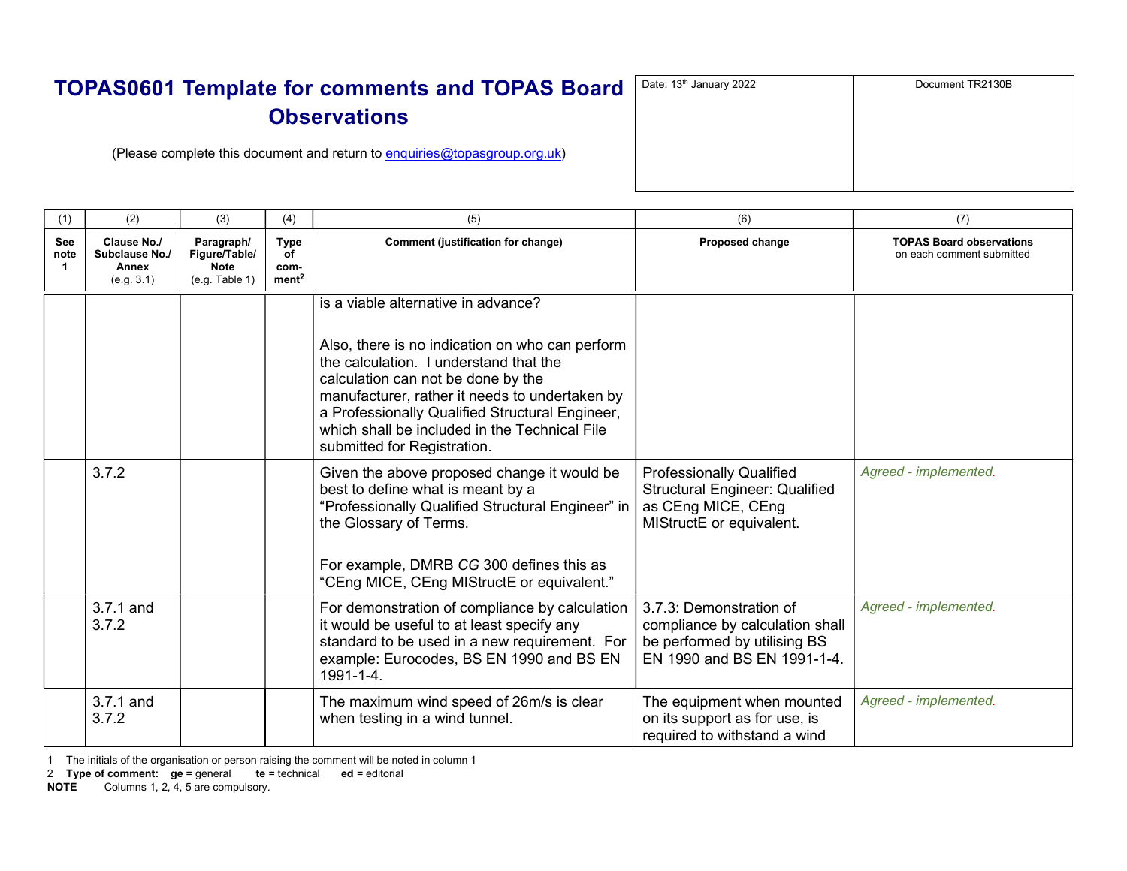(Please complete this document and return to enquiries@topasgroup.org.uk)

| (1)              | (2)                                                  | (3)                                                          | (4)                                            | (5)                                                                                                                                                                                                                                                                                                                                                         | (6)                                                                                                                        | (7)                                                          |
|------------------|------------------------------------------------------|--------------------------------------------------------------|------------------------------------------------|-------------------------------------------------------------------------------------------------------------------------------------------------------------------------------------------------------------------------------------------------------------------------------------------------------------------------------------------------------------|----------------------------------------------------------------------------------------------------------------------------|--------------------------------------------------------------|
| See<br>note<br>1 | Clause No./<br>Subclause No./<br>Annex<br>(e.g. 3.1) | Paragraph/<br>Figure/Table/<br><b>Note</b><br>(e.g. Table 1) | <b>Type</b><br>of<br>com-<br>ment <sup>2</sup> | Comment (justification for change)                                                                                                                                                                                                                                                                                                                          | Proposed change                                                                                                            | <b>TOPAS Board observations</b><br>on each comment submitted |
|                  |                                                      |                                                              |                                                | is a viable alternative in advance?<br>Also, there is no indication on who can perform<br>the calculation. I understand that the<br>calculation can not be done by the<br>manufacturer, rather it needs to undertaken by<br>a Professionally Qualified Structural Engineer,<br>which shall be included in the Technical File<br>submitted for Registration. |                                                                                                                            |                                                              |
|                  | 3.7.2                                                |                                                              |                                                | Given the above proposed change it would be<br>best to define what is meant by a<br>"Professionally Qualified Structural Engineer" in<br>the Glossary of Terms.<br>For example, DMRB CG 300 defines this as<br>"CEng MICE, CEng MIStructE or equivalent."                                                                                                   | <b>Professionally Qualified</b><br><b>Structural Engineer: Qualified</b><br>as CEng MICE, CEng<br>MIStructE or equivalent. | Agreed - implemented.                                        |
|                  | 3.7.1 and<br>3.7.2                                   |                                                              |                                                | For demonstration of compliance by calculation<br>it would be useful to at least specify any<br>standard to be used in a new requirement. For<br>example: Eurocodes, BS EN 1990 and BS EN<br>1991-1-4.                                                                                                                                                      | 3.7.3: Demonstration of<br>compliance by calculation shall<br>be performed by utilising BS<br>EN 1990 and BS EN 1991-1-4.  | Agreed - implemented.                                        |
|                  | 3.7.1 and<br>3.7.2                                   |                                                              |                                                | The maximum wind speed of 26m/s is clear<br>when testing in a wind tunnel.                                                                                                                                                                                                                                                                                  | The equipment when mounted<br>on its support as for use, is<br>required to withstand a wind                                | Agreed - implemented.                                        |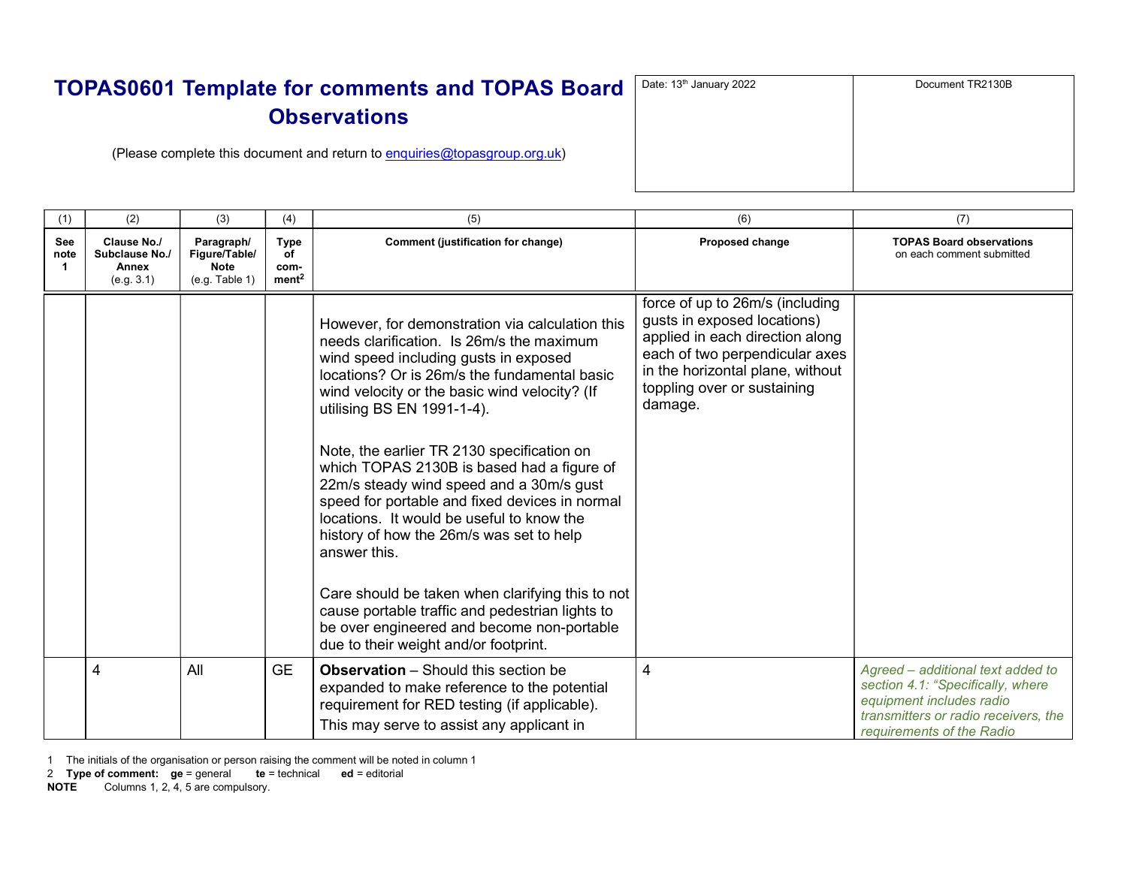| J | Date: 13 <sup>th</sup> January 2022 | Document TR2130B |
|---|-------------------------------------|------------------|
|   |                                     |                  |
|   |                                     |                  |
|   |                                     |                  |

(Please complete this document and return to enquiries@topasgroup.org.uk)

| (1)               | (2)                                                  | (3)                                                          | (4)                                            | (5)                                                                                                                                                                                                                                                                                                                                                                                                                                                                                                                                                                                                                                                                                                                                                                   | (6)                                                                                                                                                                                                               | (7)                                                                                                                                                                     |
|-------------------|------------------------------------------------------|--------------------------------------------------------------|------------------------------------------------|-----------------------------------------------------------------------------------------------------------------------------------------------------------------------------------------------------------------------------------------------------------------------------------------------------------------------------------------------------------------------------------------------------------------------------------------------------------------------------------------------------------------------------------------------------------------------------------------------------------------------------------------------------------------------------------------------------------------------------------------------------------------------|-------------------------------------------------------------------------------------------------------------------------------------------------------------------------------------------------------------------|-------------------------------------------------------------------------------------------------------------------------------------------------------------------------|
| See<br>note<br>-1 | Clause No./<br>Subclause No./<br>Annex<br>(e.g. 3.1) | Paragraph/<br>Figure/Table/<br><b>Note</b><br>(e.g. Table 1) | <b>Type</b><br>of<br>com-<br>ment <sup>2</sup> | Comment (justification for change)                                                                                                                                                                                                                                                                                                                                                                                                                                                                                                                                                                                                                                                                                                                                    | Proposed change                                                                                                                                                                                                   | <b>TOPAS Board observations</b><br>on each comment submitted                                                                                                            |
|                   |                                                      |                                                              |                                                | However, for demonstration via calculation this<br>needs clarification. Is 26m/s the maximum<br>wind speed including gusts in exposed<br>locations? Or is 26m/s the fundamental basic<br>wind velocity or the basic wind velocity? (If<br>utilising BS EN 1991-1-4).<br>Note, the earlier TR 2130 specification on<br>which TOPAS 2130B is based had a figure of<br>22m/s steady wind speed and a 30m/s gust<br>speed for portable and fixed devices in normal<br>locations. It would be useful to know the<br>history of how the 26m/s was set to help<br>answer this.<br>Care should be taken when clarifying this to not<br>cause portable traffic and pedestrian lights to<br>be over engineered and become non-portable<br>due to their weight and/or footprint. | force of up to 26m/s (including<br>gusts in exposed locations)<br>applied in each direction along<br>each of two perpendicular axes<br>in the horizontal plane, without<br>toppling over or sustaining<br>damage. |                                                                                                                                                                         |
|                   | 4                                                    | All                                                          | <b>GE</b>                                      | <b>Observation</b> – Should this section be<br>expanded to make reference to the potential<br>requirement for RED testing (if applicable).<br>This may serve to assist any applicant in                                                                                                                                                                                                                                                                                                                                                                                                                                                                                                                                                                               | 4                                                                                                                                                                                                                 | Agreed – additional text added to<br>section 4.1: "Specifically, where<br>equipment includes radio<br>transmitters or radio receivers, the<br>requirements of the Radio |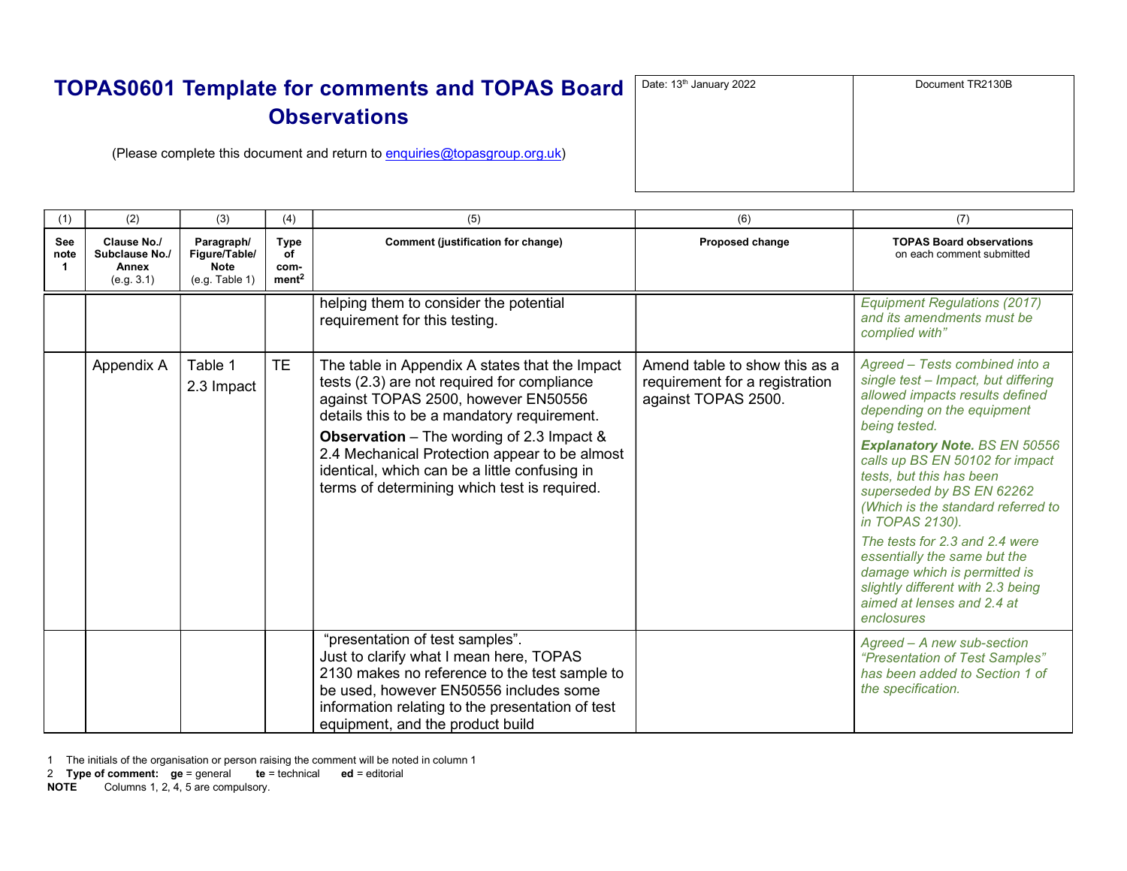| Date: 13 <sup>th</sup> January 2022 | Document TR2130B |
|-------------------------------------|------------------|
|                                     |                  |
|                                     |                  |
|                                     |                  |
|                                     |                  |

(Please complete this document and return to enquiries@topasgroup.org.uk)

| (1)         | (2)                                                  | (3)                                                          | (4)                                     | (5)                                                                                                                                                                                                                                                                                                                                                                                       | (6)                                                                                    | (7)                                                                                                                                                                                                                                                                                                                                                                                                                                                                                                                                     |
|-------------|------------------------------------------------------|--------------------------------------------------------------|-----------------------------------------|-------------------------------------------------------------------------------------------------------------------------------------------------------------------------------------------------------------------------------------------------------------------------------------------------------------------------------------------------------------------------------------------|----------------------------------------------------------------------------------------|-----------------------------------------------------------------------------------------------------------------------------------------------------------------------------------------------------------------------------------------------------------------------------------------------------------------------------------------------------------------------------------------------------------------------------------------------------------------------------------------------------------------------------------------|
| See<br>note | Clause No./<br>Subclause No./<br>Annex<br>(e.g. 3.1) | Paragraph/<br>Figure/Table/<br><b>Note</b><br>(e.g. Table 1) | Type<br>οf<br>com-<br>ment <sup>2</sup> | Comment (justification for change)                                                                                                                                                                                                                                                                                                                                                        | Proposed change                                                                        | <b>TOPAS Board observations</b><br>on each comment submitted                                                                                                                                                                                                                                                                                                                                                                                                                                                                            |
|             |                                                      |                                                              |                                         | helping them to consider the potential<br>requirement for this testing.                                                                                                                                                                                                                                                                                                                   |                                                                                        | <b>Equipment Regulations (2017)</b><br>and its amendments must be<br>complied with"                                                                                                                                                                                                                                                                                                                                                                                                                                                     |
|             | Appendix A                                           | Table 1<br>2.3 Impact                                        | TE                                      | The table in Appendix A states that the Impact<br>tests (2.3) are not required for compliance<br>against TOPAS 2500, however EN50556<br>details this to be a mandatory requirement.<br><b>Observation</b> – The wording of 2.3 Impact &<br>2.4 Mechanical Protection appear to be almost<br>identical, which can be a little confusing in<br>terms of determining which test is required. | Amend table to show this as a<br>requirement for a registration<br>against TOPAS 2500. | Agreed - Tests combined into a<br>single test - Impact, but differing<br>allowed impacts results defined<br>depending on the equipment<br>being tested.<br><b>Explanatory Note. BS EN 50556</b><br>calls up BS EN 50102 for impact<br>tests, but this has been<br>superseded by BS EN 62262<br>(Which is the standard referred to<br>in TOPAS 2130).<br>The tests for 2.3 and 2.4 were<br>essentially the same but the<br>damage which is permitted is<br>slightly different with 2.3 being<br>aimed at lenses and 2.4 at<br>enclosures |
|             |                                                      |                                                              |                                         | "presentation of test samples".<br>Just to clarify what I mean here, TOPAS<br>2130 makes no reference to the test sample to<br>be used, however EN50556 includes some<br>information relating to the presentation of test<br>equipment, and the product build                                                                                                                             |                                                                                        | Agreed - A new sub-section<br>"Presentation of Test Samples"<br>has been added to Section 1 of<br>the specification.                                                                                                                                                                                                                                                                                                                                                                                                                    |